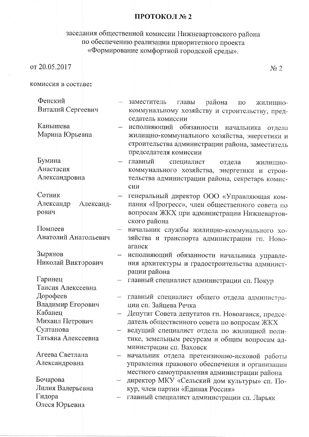## ПРОТОКОЛ № 2

## заседания общественной комиссии Нижневартовского района<br>по обеспечению реализации приоритетного проекта<br>«Формирование комфортной городской среды».

 $N_2$  2

комиссия в составе:

| Фенский<br>Виталий Сергеевич              | района<br>заместитель<br>главы<br>ПО<br>ЖИЛИЩНО-<br>коммунальному хозяйству и строительству, пред-                                                                             |
|-------------------------------------------|--------------------------------------------------------------------------------------------------------------------------------------------------------------------------------|
| Канышева<br>Марина Юрьевна                | седатель комиссии<br>исполняющий обязанности начальника<br>отдела<br>жилищно-коммунального хозяйства, энергетики и<br>строительства администрации района, заместитель          |
| Бумина<br>Анастасия<br>Александровна      | председателя комиссии<br>главный<br>специалист<br>отдела<br>ЖИЛИЩНО-<br>коммунального хозяйства, энергетики и строи-<br>тельства администрации района, секретарь комис-<br>сии |
| Сотник<br>Александр<br>Александ-<br>рович | генеральный директор ООО «Управляющая ком-<br>пания «Прогресс», член общественного совета по<br>вопросам ЖКХ при администрации Нижневартов-<br>ского района                    |
| Помпеев<br>Анатолий Анатольевич           | начальник службы жилищно-коммунального хо-<br>зяйства и транспорта администрации гп. Ново-<br>аганск                                                                           |
| Зырянов<br>Николай Викторович             | исполняющий обязанности начальника управле-<br>ния архитектуры и градостроительства админист-<br>рации района                                                                  |
| Гаринец<br>Таисия Алексеевна              | главный специалист администрации сп. Покур                                                                                                                                     |
| Дорофеев<br>Владимир Егорович             | главный специалист общего отдела администра-<br>ции сп. Зайцева Речка                                                                                                          |
| Кабанец<br>Михаил Петрович<br>Султанова   | Депутат Совета депутатов гп. Новоаганск, предсе-<br>датель общественного совета по вопросам ЖКХ<br>ведущий специалист отдела по жилищной поли-                                 |
| Татьяна Алексеевна                        | тике, земельным ресурсам и общим вопросам ад-<br>министрации сп. Ваховск                                                                                                       |
| Агеева Светлана<br>Александровна          | начальник отдела претензионно-исковой работы<br>управления правового обеспечения и организации<br>местного самоуправления администрации района                                 |
| Бочарова<br>Лилия Валерьевна              | директор МКУ «Сельский дом культуры» сп. По-<br>кур, член партии «Единая Россия»                                                                                               |
| Гидора<br>Олеся Юрьевна                   | главный специалист администрации сп. Ларьяк                                                                                                                                    |